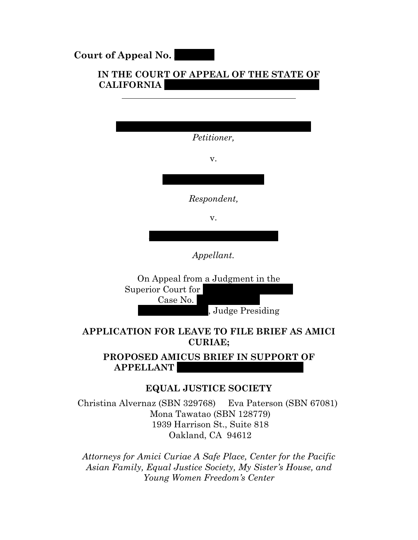**Court of Appeal No.** 

### **IN THE COURT OF APPEAL OF THE STATE OF**  $$

| Petitioner,                      |
|----------------------------------|
| v.                               |
|                                  |
| Respondent,                      |
| v.                               |
|                                  |
| Appellant.                       |
| On Anneal from a Judgment in the |



### **APPLICATION FOR LEAVE TO FILE BRIEF AS AMICI CURIAE;**

### **PROPOSED AMICUS BRIEF IN SUPPORT OF APPELLANT**

### **EQUAL JUSTICE SOCIETY**

Christina Alvernaz (SBN 329768) Eva Paterson (SBN 67081) Mona Tawatao (SBN 128779) 1939 Harrison St., Suite 818 Oakland, CA 94612

*Attorneys for Amici Curiae A Safe Place, Center for the Pacific Asian Family, Equal Justice Society, My Sister's House, and Young Women Freedom's Center*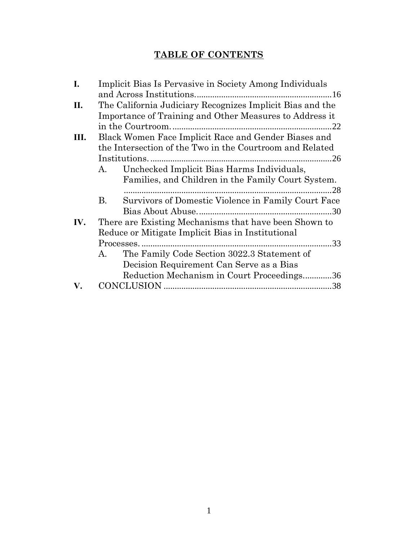## **TABLE OF CONTENTS**

| I.   | Implicit Bias Is Pervasive in Society Among Individuals   |
|------|-----------------------------------------------------------|
|      |                                                           |
| II.  | The California Judiciary Recognizes Implicit Bias and the |
|      | Importance of Training and Other Measures to Address it   |
|      | in the Courtroom                                          |
| III. | Black Women Face Implicit Race and Gender Biases and      |
|      | the Intersection of the Two in the Courtroom and Related  |
|      |                                                           |
|      | Unchecked Implicit Bias Harms Individuals,<br>A.          |
|      | Families, and Children in the Family Court System.        |
|      |                                                           |
|      | Survivors of Domestic Violence in Family Court Face<br>В. |
|      |                                                           |
| IV.  | There are Existing Mechanisms that have been Shown to     |
|      | Reduce or Mitigate Implicit Bias in Institutional         |
|      |                                                           |
|      | The Family Code Section 3022.3 Statement of<br>A.         |
|      | Decision Requirement Can Serve as a Bias                  |
|      | Reduction Mechanism in Court Proceedings36                |
| V.   |                                                           |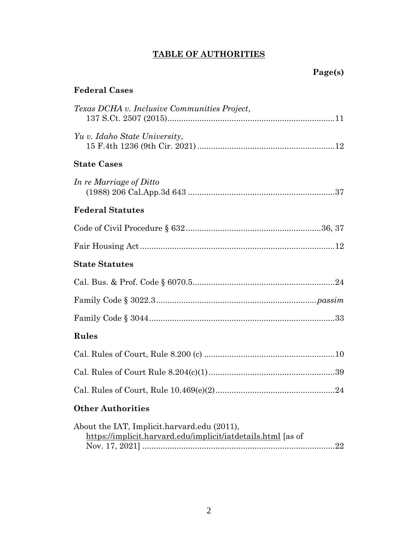## **TABLE OF AUTHORITIES**

## **Page(s)**

## **Federal Cases**

| Texas DCHA v. Inclusive Communities Project,                                                                |
|-------------------------------------------------------------------------------------------------------------|
| Yu v. Idaho State University,                                                                               |
| <b>State Cases</b>                                                                                          |
| In re Marriage of Ditto                                                                                     |
| <b>Federal Statutes</b>                                                                                     |
|                                                                                                             |
|                                                                                                             |
| <b>State Statutes</b>                                                                                       |
|                                                                                                             |
|                                                                                                             |
|                                                                                                             |
| Rules                                                                                                       |
|                                                                                                             |
|                                                                                                             |
|                                                                                                             |
| <b>Other Authorities</b>                                                                                    |
| About the IAT, Implicit.harvard.edu (2011),<br>https://implicit.harvard.edu/implicit/iatdetails.html [as of |

2

Nov. 17, 2021] ...................................................................................[.22](#page-22-1)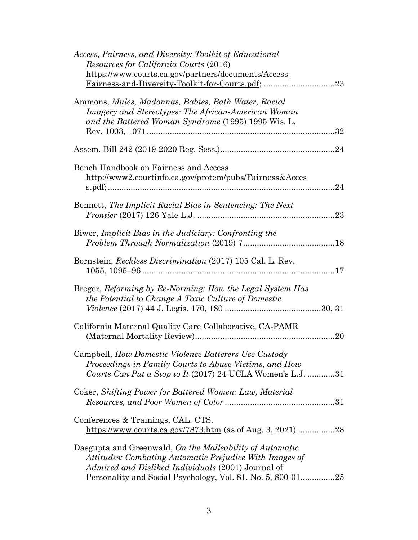| Access, Fairness, and Diversity: Toolkit of Educational<br><i>Resources for California Courts (2016)</i>                                                                         |
|----------------------------------------------------------------------------------------------------------------------------------------------------------------------------------|
| https://www.courts.ca.gov/partners/documents/Access-                                                                                                                             |
| 23                                                                                                                                                                               |
| Ammons, Mules, Madonnas, Babies, Bath Water, Racial<br>Imagery and Stereotypes: The African-American Woman<br>and the Battered Woman Syndrome (1995) 1995 Wis. L.                |
|                                                                                                                                                                                  |
| Bench Handbook on Fairness and Access                                                                                                                                            |
| http://www2.courtinfo.ca.gov/protem/pubs/Fairness&Acces                                                                                                                          |
| 24                                                                                                                                                                               |
| Bennett, The Implicit Racial Bias in Sentencing: The Next<br><i>Frontier</i> (2017) 126 Yale L.J.<br>.23                                                                         |
| Biwer, Implicit Bias in the Judiciary: Confronting the                                                                                                                           |
| Bornstein, Reckless Discrimination (2017) 105 Cal. L. Rev.                                                                                                                       |
| Breger, Reforming by Re-Norming: How the Legal System Has<br>the Potential to Change A Toxic Culture of Domestic                                                                 |
| California Maternal Quality Care Collaborative, CA-PAMR<br>20                                                                                                                    |
| Campbell, How Domestic Violence Batterers Use Custody<br>Proceedings in Family Courts to Abuse Victims, and How<br>Courts Can Put a Stop to It (2017) 24 UCLA Women's L.J. 31    |
| Coker, Shifting Power for Battered Women: Law, Material                                                                                                                          |
| Conferences & Trainings, CAL. CTS.                                                                                                                                               |
| Dasgupta and Greenwald, On the Malleability of Automatic<br>Attitudes: Combating Automatic Prejudice With Images of<br><i>Admired and Disliked Individuals</i> (2001) Journal of |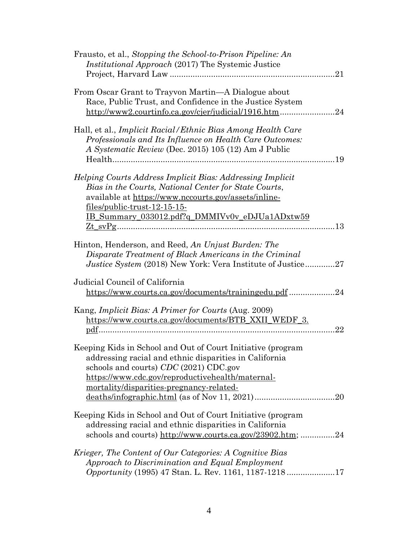| Frausto, et al., Stopping the School-to-Prison Pipeline: An<br><i>Institutional Approach</i> (2017) The Systemic Justice<br>21                                                                                                                                        |
|-----------------------------------------------------------------------------------------------------------------------------------------------------------------------------------------------------------------------------------------------------------------------|
| From Oscar Grant to Trayvon Martin—A Dialogue about<br>Race, Public Trust, and Confidence in the Justice System<br>http://www2.courtinfo.ca.gov/cjer/judicial/1916.htm24                                                                                              |
| Hall, et al., <i>Implicit Racial/Ethnic Bias Among Health Care</i><br>Professionals and Its Influence on Health Care Outcomes:<br>A Systematic Review (Dec. 2015) 105 (12) Am J Public                                                                                |
| Helping Courts Address Implicit Bias: Addressing Implicit<br>Bias in the Courts, National Center for State Courts,<br>available at https://www.nccourts.gov/assets/inline-<br><u>files/public-trust-12-15-15-</u><br>IB_Summary_033012.pdf?q_DMMIVv0v_eDJUa1ADxtw59   |
| Hinton, Henderson, and Reed, An Unjust Burden: The<br>Disparate Treatment of Black Americans in the Criminal                                                                                                                                                          |
| <i>Justice System (2018)</i> New York: Vera Institute of Justice27<br>Judicial Council of California                                                                                                                                                                  |
| https://www.courts.ca.gov/documents/trainingedu.pdf 24                                                                                                                                                                                                                |
| Kang, <i>Implicit Bias: A Primer for Courts</i> (Aug. 2009)<br>https://www.courts.ca.gov/documents/BTB_XXII_WEDF_3.<br>22                                                                                                                                             |
| Keeping Kids in School and Out of Court Initiative (program<br>addressing racial and ethnic disparities in California<br>schools and courts) CDC (2021) CDC.gov<br>https://www.cdc.gov/reproductivehealth/maternal-<br>mortality/disparities-pregnancy-related-<br>20 |
| Keeping Kids in School and Out of Court Initiative (program<br>addressing racial and ethnic disparities in California<br>schools and courts) http://www.courts.ca.gov/23902.htm; 24                                                                                   |
| Krieger, The Content of Our Categories: A Cognitive Bias<br>Approach to Discrimination and Equal Employment<br><i>Opportunity</i> (1995) 47 Stan. L. Rev. 1161, 1187-121817                                                                                           |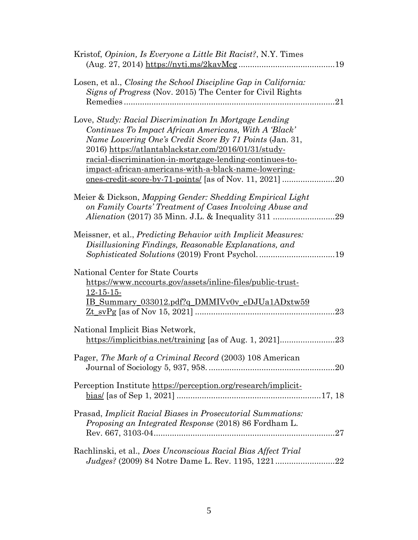| Kristof, Opinion, Is Everyone a Little Bit Racist?, N.Y. Times                                                                                                                                                                                                                                                                                               |
|--------------------------------------------------------------------------------------------------------------------------------------------------------------------------------------------------------------------------------------------------------------------------------------------------------------------------------------------------------------|
| Losen, et al., Closing the School Discipline Gap in California:<br>Signs of Progress (Nov. 2015) The Center for Civil Rights<br>21                                                                                                                                                                                                                           |
| Love, Study: Racial Discrimination In Mortgage Lending<br>Continues To Impact African Americans, With A 'Black'<br>Name Lowering One's Credit Score By 71 Points (Jan. 31,<br>2016) https://atlantablackstar.com/2016/01/31/study-<br><u>racial-discrimination-in-mortgage-lending-continues-to-</u><br>impact-african-americans-with-a-black-name-lowering- |
| Meier & Dickson, Mapping Gender: Shedding Empirical Light<br>on Family Courts' Treatment of Cases Involving Abuse and                                                                                                                                                                                                                                        |
| Meissner, et al., <i>Predicting Behavior with Implicit Measures</i> :<br>Disillusioning Findings, Reasonable Explanations, and                                                                                                                                                                                                                               |
| National Center for State Courts<br>https://www.nccourts.gov/assets/inline-files/public-trust-<br>$12-15-15$<br>IB Summary 033012.pdf?q DMMIVv0v_eDJUa1ADxtw59<br>23                                                                                                                                                                                         |
| National Implicit Bias Network,<br>https://implicitbias.net/training [as of Aug. 1, 2021]<br>23                                                                                                                                                                                                                                                              |
| Pager, The Mark of a Criminal Record (2003) 108 American                                                                                                                                                                                                                                                                                                     |
| Perception Institute https://perception.org/research/implicit-                                                                                                                                                                                                                                                                                               |
| Prasad, Implicit Racial Biases in Prosecutorial Summations:<br><i>Proposing an Integrated Response</i> (2018) 86 Fordham L.                                                                                                                                                                                                                                  |
| Rachlinski, et al., Does Unconscious Racial Bias Affect Trial                                                                                                                                                                                                                                                                                                |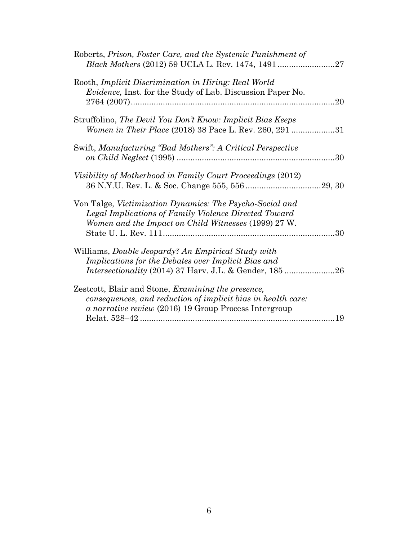| Roberts, Prison, Foster Care, and the Systemic Punishment of                                                                                                                        |    |
|-------------------------------------------------------------------------------------------------------------------------------------------------------------------------------------|----|
| Rooth, Implicit Discrimination in Hiring: Real World<br><i>Evidence</i> , Inst. for the Study of Lab. Discussion Paper No.                                                          |    |
| Struffolino, The Devil You Don't Know: Implicit Bias Keeps<br>Women in Their Place (2018) 38 Pace L. Rev. 260, 291 31                                                               |    |
| Swift, Manufacturing "Bad Mothers": A Critical Perspective                                                                                                                          |    |
| Visibility of Motherhood in Family Court Proceedings (2012)                                                                                                                         |    |
| Von Talge, Victimization Dynamics: The Psycho-Social and<br>Legal Implications of Family Violence Directed Toward<br>Women and the Impact on Child Witnesses (1999) 27 W.           | 30 |
| Williams, Double Jeopardy? An Empirical Study with<br>Implications for the Debates over Implicit Bias and                                                                           |    |
| Zestcott, Blair and Stone, <i>Examining the presence</i> ,<br>consequences, and reduction of implicit bias in health care:<br>a narrative review (2016) 19 Group Process Intergroup |    |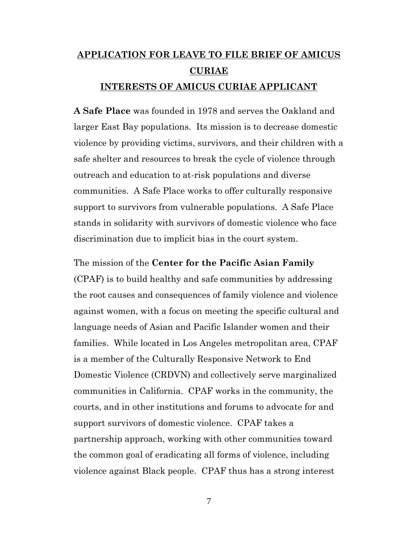# **APPLICATION FOR LEAVE TO FILE BRIEF OF AMICUS CURIAE INTERESTS OF AMICUS CURIAE APPLICANT**

**A Safe Place** was founded in 1978 and serves the Oakland and larger East Bay populations. Its mission is to decrease domestic violence by providing victims, survivors, and their children with a safe shelter and resources to break the cycle of violence through outreach and education to at-risk populations and diverse communities. A Safe Place works to offer culturally responsive support to survivors from vulnerable populations. A Safe Place stands in solidarity with survivors of domestic violence who face discrimination due to implicit bias in the court system.

#### The mission of the **Center for the Pacific Asian Family**

(CPAF) is to build healthy and safe communities by addressing the root causes and consequences of family violence and violence against women, with a focus on meeting the specific cultural and language needs of Asian and Pacific Islander women and their families. While located in Los Angeles metropolitan area, CPAF is a member of the Culturally Responsive Network to End Domestic Violence (CRDVN) and collectively serve marginalized communities in California. CPAF works in the community, the courts, and in other institutions and forums to advocate for and support survivors of domestic violence. CPAF takes a partnership approach, working with other communities toward the common goal of eradicating all forms of violence, including violence against Black people. CPAF thus has a strong interest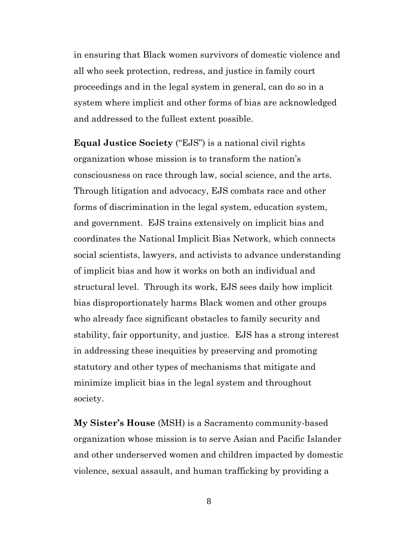in ensuring that Black women survivors of domestic violence and all who seek protection, redress, and justice in family court proceedings and in the legal system in general, can do so in a system where implicit and other forms of bias are acknowledged and addressed to the fullest extent possible.

**Equal Justice Society** ("EJS") is a national civil rights organization whose mission is to transform the nation's consciousness on race through law, social science, and the arts. Through litigation and advocacy, EJS combats race and other forms of discrimination in the legal system, education system, and government. EJS trains extensively on implicit bias and coordinates the National Implicit Bias Network, which connects social scientists, lawyers, and activists to advance understanding of implicit bias and how it works on both an individual and structural level. Through its work, EJS sees daily how implicit bias disproportionately harms Black women and other groups who already face significant obstacles to family security and stability, fair opportunity, and justice. EJS has a strong interest in addressing these inequities by preserving and promoting statutory and other types of mechanisms that mitigate and minimize implicit bias in the legal system and throughout society.

**My Sister's House** (MSH) is a Sacramento community-based organization whose mission is to serve Asian and Pacific Islander and other underserved women and children impacted by domestic violence, sexual assault, and human trafficking by providing a

8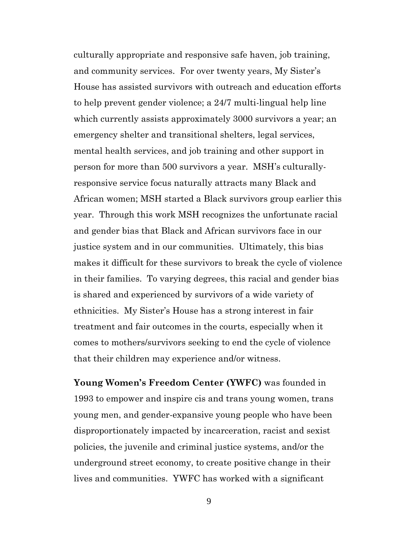culturally appropriate and responsive safe haven, job training, and community services. For over twenty years, My Sister's House has assisted survivors with outreach and education efforts to help prevent gender violence; a 24/7 multi-lingual help line which currently assists approximately 3000 survivors a year; an emergency shelter and transitional shelters, legal services, mental health services, and job training and other support in person for more than 500 survivors a year. MSH's culturallyresponsive service focus naturally attracts many Black and African women; MSH started a Black survivors group earlier this year. Through this work MSH recognizes the unfortunate racial and gender bias that Black and African survivors face in our justice system and in our communities. Ultimately, this bias makes it difficult for these survivors to break the cycle of violence in their families. To varying degrees, this racial and gender bias is shared and experienced by survivors of a wide variety of ethnicities. My Sister's House has a strong interest in fair treatment and fair outcomes in the courts, especially when it comes to mothers/survivors seeking to end the cycle of violence that their children may experience and/or witness.

**Young Women's Freedom Center (YWFC)** was founded in 1993 to empower and inspire cis and trans young women, trans young men, and gender-expansive young people who have been disproportionately impacted by incarceration, racist and sexist policies, the juvenile and criminal justice systems, and/or the underground street economy, to create positive change in their lives and communities. YWFC has worked with a significant

9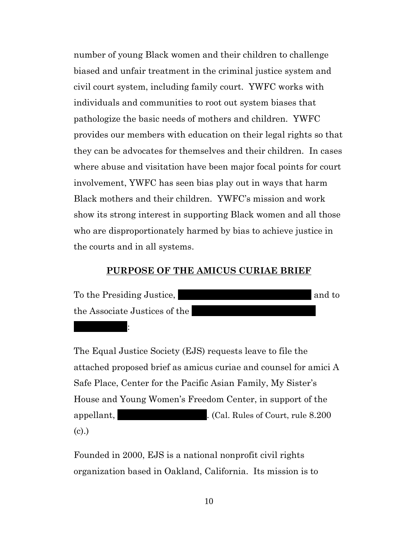number of young Black women and their children to challenge biased and unfair treatment in the criminal justice system and civil court system, including family court. YWFC works with individuals and communities to root out system biases that pathologize the basic needs of mothers and children. YWFC provides our members with education on their legal rights so that they can be advocates for themselves and their children. In cases where abuse and visitation have been major focal points for court involvement, YWFC has seen bias play out in ways that harm Black mothers and their children. YWFC's mission and work show its strong interest in supporting Black women and all those who are disproportionately harmed by bias to achieve justice in the courts and in all systems.

### **PURPOSE OF THE AMICUS CURIAE BRIEF**



Division Two:

The Equal Justice Society (EJS) requests leave to file the attached proposed brief as amicus curiae and counsel for amici A Safe Place, Center for the Pacific Asian Family, My Sister's House and Young Women's Freedom Center, in support of the appellant, Angeliant, Angeliant, Angeliant, angeliant, rule 8.200 (c).)

<span id="page-10-0"></span>Founded in 2000, EJS is a national nonprofit civil rights organization based in Oakland, California. Its mission is to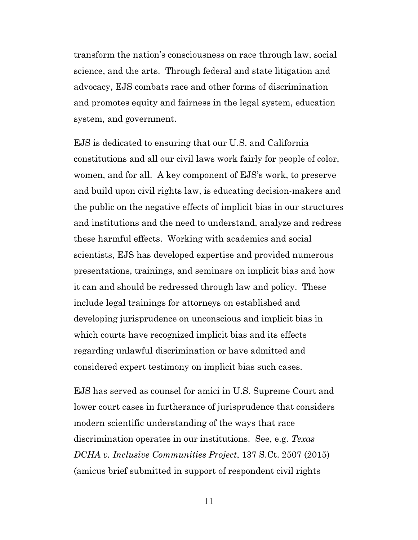transform the nation's consciousness on race through law, social science, and the arts. Through federal and state litigation and advocacy, EJS combats race and other forms of discrimination and promotes equity and fairness in the legal system, education system, and government.

EJS is dedicated to ensuring that our U.S. and California constitutions and all our civil laws work fairly for people of color, women, and for all. A key component of EJS's work, to preserve and build upon civil rights law, is educating decision-makers and the public on the negative effects of implicit bias in our structures and institutions and the need to understand, analyze and redress these harmful effects. Working with academics and social scientists, EJS has developed expertise and provided numerous presentations, trainings, and seminars on implicit bias and how it can and should be redressed through law and policy. These include legal trainings for attorneys on established and developing jurisprudence on unconscious and implicit bias in which courts have recognized implicit bias and its effects regarding unlawful discrimination or have admitted and considered expert testimony on implicit bias such cases.

EJS has served as counsel for amici in U.S. Supreme Court and lower court cases in furtherance of jurisprudence that considers modern scientific understanding of the ways that race discrimination operates in our institutions. See, e.g. *Texas DCHA v. Inclusive Communities Project*, 137 S.Ct. 2507 (2015) (amicus brief submitted in support of respondent civil rights

<span id="page-11-0"></span>11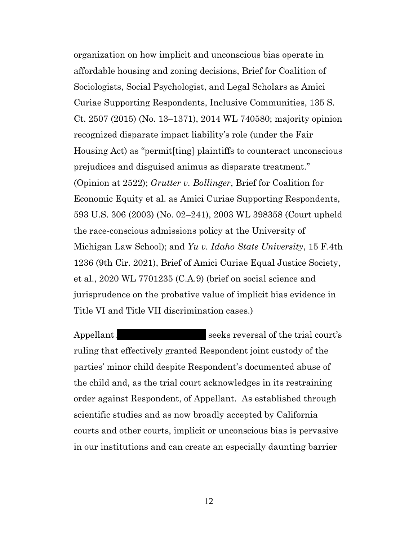<span id="page-12-1"></span>organization on how implicit and unconscious bias operate in affordable housing and zoning decisions, Brief for Coalition of Sociologists, Social Psychologist, and Legal Scholars as Amici Curiae Supporting Respondents, Inclusive Communities, 135 S. Ct. 2507 (2015) (No. 13–1371), 2014 WL 740580; majority opinion recognized disparate impact liability's role (under the Fair Housing Act) as "permit[ting] plaintiffs to counteract unconscious prejudices and disguised animus as disparate treatment." (Opinion at 2522); *Grutter v. Bollinger*, Brief for Coalition for Economic Equity et al. as Amici Curiae Supporting Respondents, 593 U.S. 306 (2003) (No. 02–241), 2003 WL 398358 (Court upheld the race-conscious admissions policy at the University of Michigan Law School); and *Yu v. Idaho State University*, 15 F.4th 1236 (9th Cir. 2021), Brief of Amici Curiae Equal Justice Society, et al., 2020 WL 7701235 (C.A.9) (brief on social science and jurisprudence on the probative value of implicit bias evidence in Title VI and Title VII discrimination cases.)

<span id="page-12-0"></span>Appellant Seeks reversal of the trial court's ruling that effectively granted Respondent joint custody of the parties' minor child despite Respondent's documented abuse of the child and, as the trial court acknowledges in its restraining order against Respondent, of Appellant. As established through scientific studies and as now broadly accepted by California courts and other courts, implicit or unconscious bias is pervasive in our institutions and can create an especially daunting barrier

12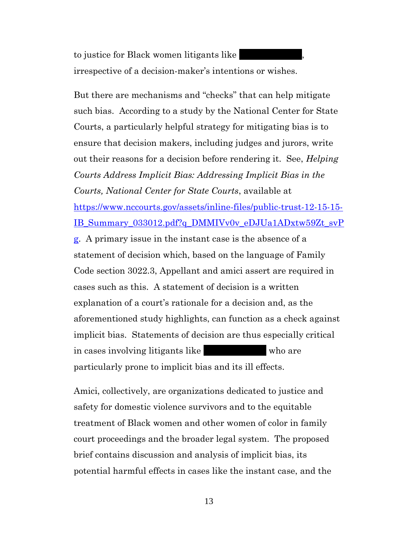to justice for Black women litigants like irrespective of a decision-maker's intentions or wishes.

<span id="page-13-1"></span>But there are mechanisms and "checks" that can help mitigate such bias. According to a study by the National Center for State Courts, a particularly helpful strategy for mitigating bias is to ensure that decision makers, including judges and jurors, write out their reasons for a decision before rendering it. See, *Helping Courts Address Implicit Bias: Addressing Implicit Bias in the Courts, National Center for State Courts*, available at [https://www.nccourts.gov/assets/inline-files/public-trust-12-15-15-](https://www.nccourts.gov/assets/inline-files/public-trust-12-15-15-IB_Summary_033012.pdf?q_DMMIVv0v_eDJUa1ADxtw59Zt_svPg) [IB\\_Summary\\_033012.pdf?q\\_DMMIVv0v\\_eDJUa1ADxtw59Zt\\_svP](https://www.nccourts.gov/assets/inline-files/public-trust-12-15-15-IB_Summary_033012.pdf?q_DMMIVv0v_eDJUa1ADxtw59Zt_svPg) [g.](https://www.nccourts.gov/assets/inline-files/public-trust-12-15-15-IB_Summary_033012.pdf?q_DMMIVv0v_eDJUa1ADxtw59Zt_svPg) A primary issue in the instant case is the absence of a statement of decision which, based on the language of Family Code section 3022.3, Appellant and amici assert are required in cases such as this. A statement of decision is a written explanation of a court's rationale for a decision and, as the aforementioned study highlights, can function as a check against implicit bias. Statements of decision are thus especially critical in cases involving litigants like who are particularly prone to implicit bias and its ill effects.

<span id="page-13-0"></span>Amici, collectively, are organizations dedicated to justice and safety for domestic violence survivors and to the equitable treatment of Black women and other women of color in family court proceedings and the broader legal system. The proposed brief contains discussion and analysis of implicit bias, its potential harmful effects in cases like the instant case, and the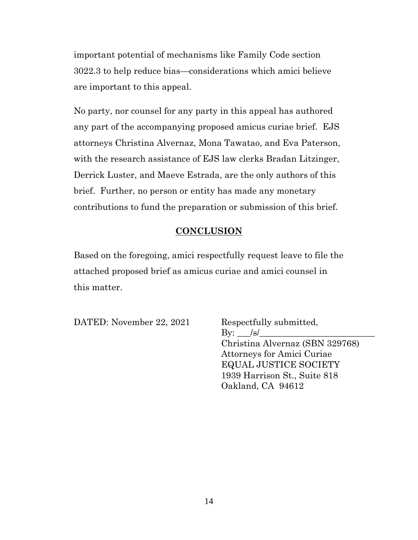important potential of mechanisms like Family Code section 3022.3 to help reduce bias—considerations which amici believe are important to this appeal.

No party, nor counsel for any party in this appeal has authored any part of the accompanying proposed amicus curiae brief. EJS attorneys Christina Alvernaz, Mona Tawatao, and Eva Paterson, with the research assistance of EJS law clerks Bradan Litzinger, Derrick Luster, and Maeve Estrada, are the only authors of this brief. Further, no person or entity has made any monetary contributions to fund the preparation or submission of this brief.

### **CONCLUSION**

Based on the foregoing, amici respectfully request leave to file the attached proposed brief as amicus curiae and amici counsel in this matter.

DATED: November 22, 2021 Respectfully submitted,

 $\rm By: \_\_\!/s$ Christina Alvernaz (SBN 329768) Attorneys for Amici Curiae EQUAL JUSTICE SOCIETY 1939 Harrison St., Suite 818 Oakland, CA 94612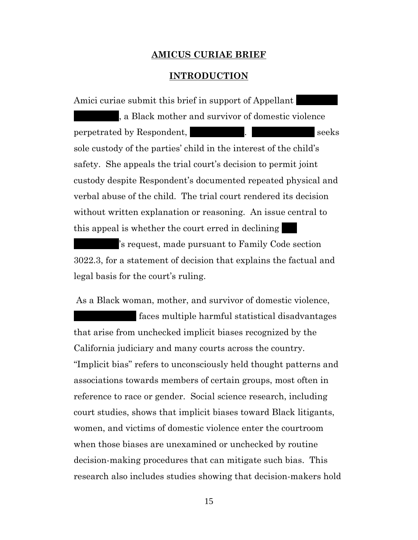#### **AMICUS CURIAE BRIEF**

#### **INTRODUCTION**

Amici curiae submit this brief in support of Appellant , a Black mother and survivor of domestic violence perpetrated by Respondent, The Hales Hales Seeks sole custody of the parties' child in the interest of the child's safety. She appeals the trial court's decision to permit joint custody despite Respondent's documented repeated physical and verbal abuse of the child. The trial court rendered its decision without written explanation or reasoning. An issue central to this appeal is whether the court erred in declining

's request, made pursuant to Family Code section 3022.3, for a statement of decision that explains the factual and legal basis for the court's ruling.

As a Black woman, mother, and survivor of domestic violence,

faces multiple harmful statistical disadvantages that arise from unchecked implicit biases recognized by the California judiciary and many courts across the country. "Implicit bias" refers to unconsciously held thought patterns and associations towards members of certain groups, most often in reference to race or gender. Social science research, including court studies, shows that implicit biases toward Black litigants, women, and victims of domestic violence enter the courtroom when those biases are unexamined or unchecked by routine decision-making procedures that can mitigate such bias. This research also includes studies showing that decision-makers hold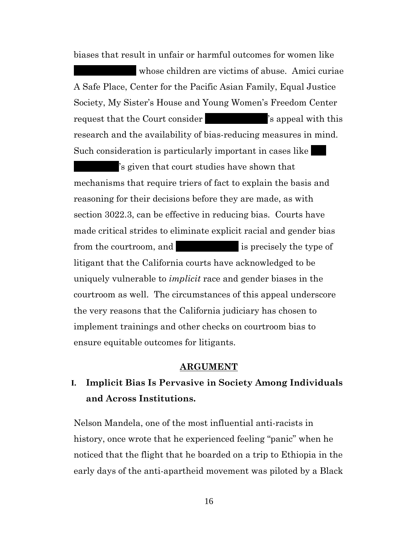biases that result in unfair or harmful outcomes for women like

whose children are victims of abuse. Amici curiae. A Safe Place, Center for the Pacific Asian Family, Equal Justice Society, My Sister's House and Young Women's Freedom Center request that the Court consider Theorem  $\sim$  S appeal with this research and the availability of bias-reducing measures in mind. Such consideration is particularly important in cases like

's given that court studies have shown that mechanisms that require triers of fact to explain the basis and reasoning for their decisions before they are made, as with section 3022.3, can be effective in reducing bias. Courts have made critical strides to eliminate explicit racial and gender bias from the courtroom, and  $\blacksquare$  is precisely the type of litigant that the California courts have acknowledged to be uniquely vulnerable to *implicit* race and gender biases in the courtroom as well. The circumstances of this appeal underscore the very reasons that the California judiciary has chosen to implement trainings and other checks on courtroom bias to ensure equitable outcomes for litigants.

#### **ARGUMENT**

## <span id="page-16-0"></span>**I. Implicit Bias Is Pervasive in Society Among Individuals and Across Institutions.**

Nelson Mandela, one of the most influential anti-racists in history, once wrote that he experienced feeling "panic" when he noticed that the flight that he boarded on a trip to Ethiopia in the early days of the anti-apartheid movement was piloted by a Black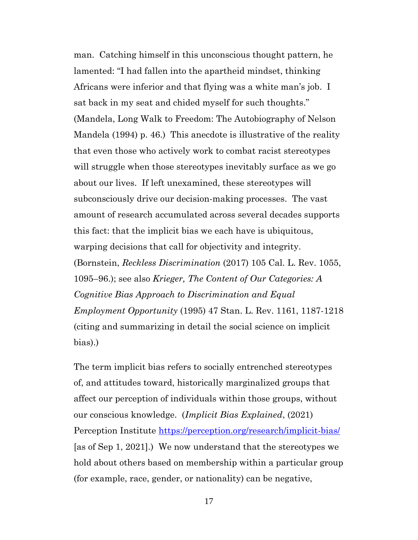man. Catching himself in this unconscious thought pattern, he lamented: "I had fallen into the apartheid mindset, thinking Africans were inferior and that flying was a white man's job. I sat back in my seat and chided myself for such thoughts." (Mandela, Long Walk to Freedom: The Autobiography of Nelson Mandela (1994) p. 46.) This anecdote is illustrative of the reality that even those who actively work to combat racist stereotypes will struggle when those stereotypes inevitably surface as we go about our lives. If left unexamined, these stereotypes will subconsciously drive our decision-making processes. The vast amount of research accumulated across several decades supports this fact: that the implicit bias we each have is ubiquitous, warping decisions that call for objectivity and integrity. (Bornstein, *Reckless Discrimination* (2017) 105 Cal. L. Rev. 1055, 1095–96.); see also *Krieger, The Content of Our Categories: A Cognitive Bias Approach to Discrimination and Equal Employment Opportunity* (1995) 47 Stan. L. Rev. 1161, 1187-1218 (citing and summarizing in detail the social science on implicit bias).)

<span id="page-17-2"></span><span id="page-17-1"></span><span id="page-17-0"></span>The term implicit bias refers to socially entrenched stereotypes of, and attitudes toward, historically marginalized groups that affect our perception of individuals within those groups, without our conscious knowledge. (*Implicit Bias Explained*, (2021) Perception Institute<https://perception.org/research/implicit-bias/> [as of Sep 1, 2021].) We now understand that the stereotypes we hold about others based on membership within a particular group (for example, race, gender, or nationality) can be negative,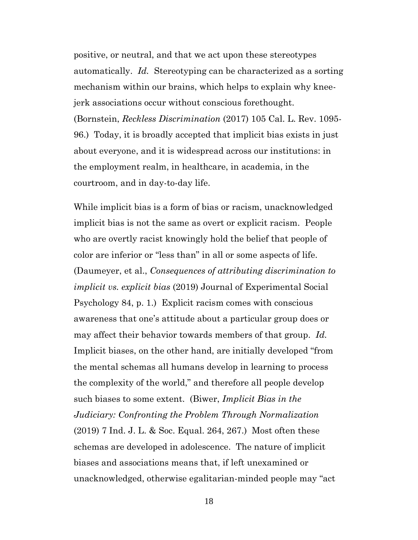<span id="page-18-1"></span>positive, or neutral, and that we act upon these stereotypes automatically. *Id.* Stereotyping can be characterized as a sorting mechanism within our brains, which helps to explain why kneejerk associations occur without conscious forethought. (Bornstein, *Reckless Discrimination* (2017) 105 Cal. L. Rev. 1095- 96.) Today, it is broadly accepted that implicit bias exists in just about everyone, and it is widespread across our institutions: in the employment realm, in healthcare, in academia, in the courtroom, and in day-to-day life.

<span id="page-18-0"></span>While implicit bias is a form of bias or racism, unacknowledged implicit bias is not the same as overt or explicit racism. People who are overtly racist knowingly hold the belief that people of color are inferior or "less than" in all or some aspects of life. (Daumeyer, et al., *Consequences of attributing discrimination to implicit vs. explicit bias* (2019) Journal of Experimental Social Psychology 84, p. 1.) Explicit racism comes with conscious awareness that one's attitude about a particular group does or may affect their behavior towards members of that group. *Id.* Implicit biases, on the other hand, are initially developed "from the mental schemas all humans develop in learning to process the complexity of the world," and therefore all people develop such biases to some extent. (Biwer, *Implicit Bias in the Judiciary: Confronting the Problem Through Normalization* (2019) 7 Ind. J. L. & Soc. Equal. 264, 267.) Most often these schemas are developed in adolescence. The nature of implicit biases and associations means that, if left unexamined or unacknowledged, otherwise egalitarian-minded people may "act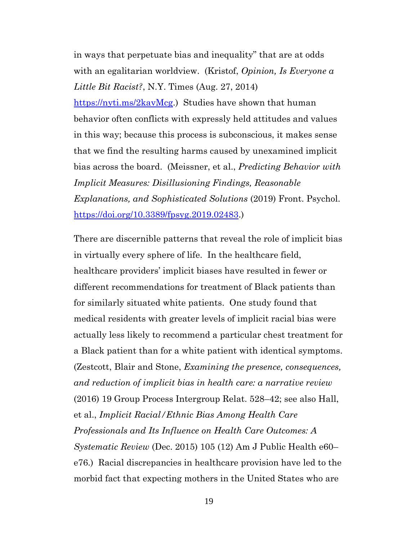<span id="page-19-1"></span>in ways that perpetuate bias and inequality" that are at odds with an egalitarian worldview. (Kristof, *Opinion, Is Everyone a Little Bit Racist?*, N.Y. Times (Aug. 27, 2014)

<span id="page-19-2"></span>[https://nyti.ms/2kavMcg.](https://nyti.ms/2kavMcg)) Studies have shown that human behavior often conflicts with expressly held attitudes and values in this way; because this process is subconscious, it makes sense that we find the resulting harms caused by unexamined implicit bias across the board. (Meissner, et al., *Predicting Behavior with Implicit Measures: Disillusioning Findings, Reasonable Explanations, and Sophisticated Solutions* (2019) Front. Psychol. [https://doi.org/10.3389/fpsyg.2019.02483.](https://doi.org/10.3389/fpsyg.2019.02483))

<span id="page-19-3"></span><span id="page-19-0"></span>There are discernible patterns that reveal the role of implicit bias in virtually every sphere of life. In the healthcare field, healthcare providers' implicit biases have resulted in fewer or different recommendations for treatment of Black patients than for similarly situated white patients. One study found that medical residents with greater levels of implicit racial bias were actually less likely to recommend a particular chest treatment for a Black patient than for a white patient with identical symptoms. (Zestcott, Blair and Stone, *Examining the presence, consequences, and reduction of implicit bias in health care: a narrative review* (2016) 19 Group Process Intergroup Relat. 528–42; see also Hall, et al., *Implicit Racial/Ethnic Bias Among Health Care Professionals and Its Influence on Health Care Outcomes: A Systematic Review* (Dec. 2015) 105 (12) Am J Public Health e60– e76.) Racial discrepancies in healthcare provision have led to the morbid fact that expecting mothers in the United States who are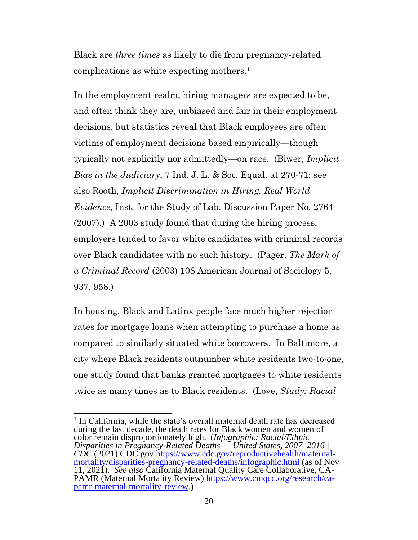Black are *three times* as likely to die from pregnancy-related complications as white expecting mothers.<sup>1</sup>

<span id="page-20-4"></span>In the employment realm, hiring managers are expected to be, and often think they are, unbiased and fair in their employment decisions, but statistics reveal that Black employees are often victims of employment decisions based empirically—though typically not explicitly nor admittedly—on race. (Biwer, *Implicit Bias in the Judiciary*, 7 Ind. J. L. & Soc. Equal. at 270-71; see also Rooth, *Implicit Discrimination in Hiring: Real World Evidence*, Inst. for the Study of Lab. Discussion Paper No. 2764 (2007).) A 2003 study found that during the hiring process, employers tended to favor white candidates with criminal records over Black candidates with no such history. (Pager, *The Mark of a Criminal Record* (2003) 108 American Journal of Sociology 5, 937, 958.)

<span id="page-20-3"></span>In housing, Black and Latinx people face much higher rejection rates for mortgage loans when attempting to purchase a home as compared to similarly situated white borrowers. In Baltimore, a city where Black residents outnumber white residents two-to-one, one study found that banks granted mortgages to white residents twice as many times as to Black residents. (Love, *Study: Racial* 

<span id="page-20-2"></span><span id="page-20-1"></span><span id="page-20-0"></span><sup>&</sup>lt;sup>1</sup> In California, while the state's overall maternal death rate has decreased during the last decade, the death rates for Black women and women of color remain disproportionately high. (*Infographic: Racial/Ethnic Disparities in Pregnancy-Related Deaths — United States, 2007–2016 | CDC* (2021) CDC.gov [https://www.cdc.gov/reproductivehealth/maternal](https://www.cdc.gov/reproductivehealth/maternal-mortality/disparities-pregnancy-related-deaths/infographic.html)[mortality/disparities-pregnancy-related-deaths/infographic.html](https://www.cdc.gov/reproductivehealth/maternal-mortality/disparities-pregnancy-related-deaths/infographic.html) (as of Nov 11, 2021). *See also* California Maternal Quality Care Collaborative, CA-PAMR (Maternal Mortality Review) [https://www.cmqcc.org/research/ca](https://www.cmqcc.org/research/ca-pamr-maternal-mortality-review)[pamr-maternal-mortality-review.](https://www.cmqcc.org/research/ca-pamr-maternal-mortality-review))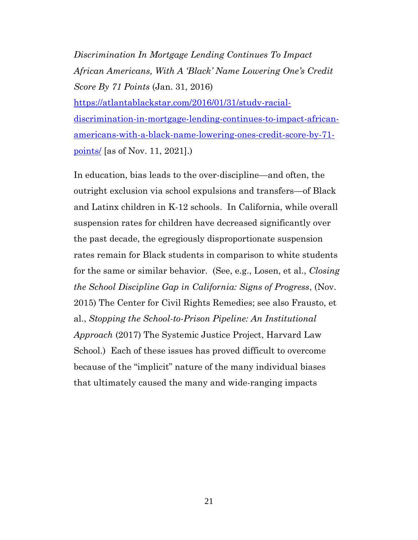*Discrimination In Mortgage Lending Continues To Impact African Americans, With A 'Black' Name Lowering One's Credit Score By 71 Points* (Jan. 31, 2016) [https://atlantablackstar.com/2016/01/31/study-racial](https://atlantablackstar.com/2016/01/31/study-racial-discrimination-in-mortgage-lending-continues-to-impact-african-americans-with-a-black-name-lowering-ones-credit-score-by-71-points/)[discrimination-in-mortgage-lending-continues-to-impact-african](https://atlantablackstar.com/2016/01/31/study-racial-discrimination-in-mortgage-lending-continues-to-impact-african-americans-with-a-black-name-lowering-ones-credit-score-by-71-points/)[americans-with-a-black-name-lowering-ones-credit-score-by-71](https://atlantablackstar.com/2016/01/31/study-racial-discrimination-in-mortgage-lending-continues-to-impact-african-americans-with-a-black-name-lowering-ones-credit-score-by-71-points/) [points/](https://atlantablackstar.com/2016/01/31/study-racial-discrimination-in-mortgage-lending-continues-to-impact-african-americans-with-a-black-name-lowering-ones-credit-score-by-71-points/) [as of Nov. 11, 2021].)

<span id="page-21-1"></span><span id="page-21-0"></span>In education, bias leads to the over-discipline—and often, the outright exclusion via school expulsions and transfers—of Black and Latinx children in K-12 schools. In California, while overall suspension rates for children have decreased significantly over the past decade, the egregiously disproportionate suspension rates remain for Black students in comparison to white students for the same or similar behavior. (See, e.g., Losen, et al., *Closing the School Discipline Gap in California: Signs of Progress*, (Nov. 2015) The Center for Civil Rights Remedies; see also Frausto, et al., *Stopping the School-to-Prison Pipeline: An Institutional Approach* (2017) The Systemic Justice Project, Harvard Law School.) Each of these issues has proved difficult to overcome because of the "implicit" nature of the many individual biases that ultimately caused the many and wide-ranging impacts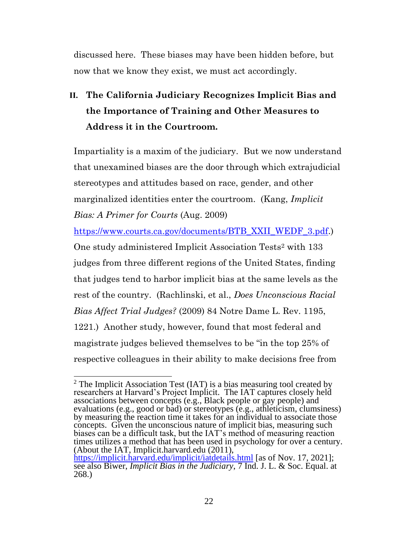discussed here. These biases may have been hidden before, but now that we know they exist, we must act accordingly.

## <span id="page-22-0"></span>**II. The California Judiciary Recognizes Implicit Bias and the Importance of Training and Other Measures to Address it in the Courtroom.**

Impartiality is a maxim of the judiciary. But we now understand that unexamined biases are the door through which extrajudicial stereotypes and attitudes based on race, gender, and other marginalized identities enter the courtroom. (Kang, *Implicit Bias: A Primer for Courts* (Aug. 2009)

<span id="page-22-2"></span>[https://www.courts.ca.gov/documents/BTB\\_XXII\\_WEDF\\_3.pdf.](https://www.courts.ca.gov/documents/BTB_XXII_WEDF_3.pdf))

<span id="page-22-3"></span>One study administered Implicit Association Tests<sup>2</sup> with 133 judges from three different regions of the United States, finding that judges tend to harbor implicit bias at the same levels as the rest of the country. (Rachlinski, et al., *Does Unconscious Racial Bias Affect Trial Judges?* (2009) 84 Notre Dame L. Rev. 1195, 1221.) Another study, however, found that most federal and magistrate judges believed themselves to be "in the top 25% of respective colleagues in their ability to make decisions free from

 $2$  The Implicit Association Test (IAT) is a bias measuring tool created by researchers at Harvard's Project Implicit. The IAT captures closely held associations between concepts (e.g., Black people or gay people) and evaluations (e.g., good or bad) or stereotypes (e.g., athleticism, clumsiness) by measuring the reaction time it takes for an individual to associate those concepts. Given the unconscious nature of implicit bias, measuring such biases can be a difficult task, but the IAT's method of measuring reaction times utilizes a method that has been used in psychology for over a century. (About the IAT, Implicit.harvard.edu (2011), <https://implicit.harvard.edu/implicit/iatdetails.html> [as of Nov. 17, 2021];

<span id="page-22-1"></span>see also Biwer, *Implicit Bias in the Judiciary*, 7 Ind. J. L. & Soc. Equal. at 268.)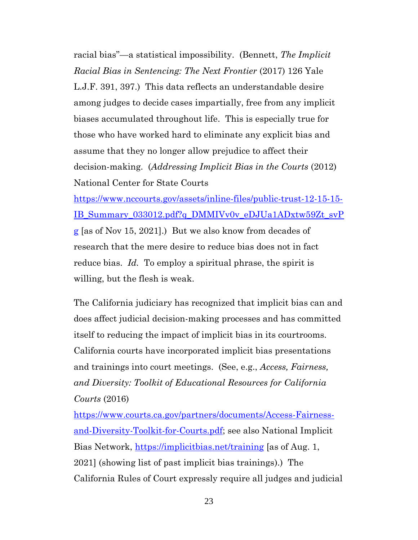<span id="page-23-1"></span>racial bias"—a statistical impossibility. (Bennett, *The Implicit Racial Bias in Sentencing: The Next Frontier* (2017) 126 Yale L.J.F. 391, 397.) This data reflects an understandable desire among judges to decide cases impartially, free from any implicit biases accumulated throughout life. This is especially true for those who have worked hard to eliminate any explicit bias and assume that they no longer allow prejudice to affect their decision-making. (*Addressing Implicit Bias in the Courts* (2012) National Center for State Courts

<span id="page-23-2"></span>[https://www.nccourts.gov/assets/inline-files/public-trust-12-15-15-](https://www.nccourts.gov/assets/inline-files/public-trust-12-15-15-IB_Summary_033012.pdf?q_DMMIVv0v_eDJUa1ADxtw59Zt_svPg) [IB\\_Summary\\_033012.pdf?q\\_DMMIVv0v\\_eDJUa1ADxtw59Zt\\_svP](https://www.nccourts.gov/assets/inline-files/public-trust-12-15-15-IB_Summary_033012.pdf?q_DMMIVv0v_eDJUa1ADxtw59Zt_svPg) [g](https://www.nccourts.gov/assets/inline-files/public-trust-12-15-15-IB_Summary_033012.pdf?q_DMMIVv0v_eDJUa1ADxtw59Zt_svPg) [as of Nov 15, 2021].) But we also know from decades of research that the mere desire to reduce bias does not in fact reduce bias. *Id.* To employ a spiritual phrase, the spirit is willing, but the flesh is weak.

The California judiciary has recognized that implicit bias can and does affect judicial decision-making processes and has committed itself to reducing the impact of implicit bias in its courtrooms. California courts have incorporated implicit bias presentations and trainings into court meetings. (See, e.g., *Access, Fairness, and Diversity: Toolkit of Educational Resources for California Courts* (2016)

<span id="page-23-3"></span><span id="page-23-0"></span>[https://www.courts.ca.gov/partners/documents/Access-Fairness](https://www.courts.ca.gov/partners/documents/Access-Fairness-and-Diversity-Toolkit-for-Courts.pdf)[and-Diversity-Toolkit-for-Courts.pdf;](https://www.courts.ca.gov/partners/documents/Access-Fairness-and-Diversity-Toolkit-for-Courts.pdf) see also National Implicit Bias Network,<https://implicitbias.net/training> [as of Aug. 1, 2021] (showing list of past implicit bias trainings).) The California Rules of Court expressly require all judges and judicial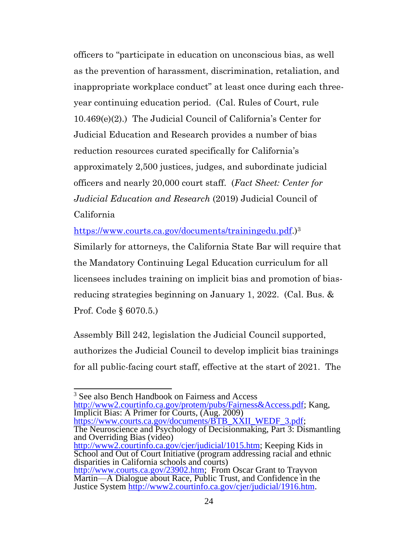<span id="page-24-1"></span>officers to "participate in education on unconscious bias, as well as the prevention of harassment, discrimination, retaliation, and inappropriate workplace conduct" at least once during each threeyear continuing education period. (Cal. Rules of Court, rule 10.469(e)(2).) The Judicial Council of California's Center for Judicial Education and Research provides a number of bias reduction resources curated specifically for California's approximately 2,500 justices, judges, and subordinate judicial officers and nearly 20,000 court staff. (*Fact Sheet: Center for Judicial Education and Research* (2019) Judicial Council of California

<span id="page-24-5"></span>[https://www.courts.ca.gov/documents/trainingedu.pdf.](https://www.courts.ca.gov/documents/trainingedu.pdf))<sup>3</sup>

Similarly for attorneys, the California State Bar will require that the Mandatory Continuing Legal Education curriculum for all licensees includes training on implicit bias and promotion of biasreducing strategies beginning on January 1, 2022. (Cal. Bus. & Prof. Code § 6070.5.)

<span id="page-24-2"></span><span id="page-24-0"></span>Assembly Bill 242, legislation the Judicial Council supported, authorizes the Judicial Council to develop implicit bias trainings for all public-facing court staff, effective at the start of 2021. The

<span id="page-24-6"></span><span id="page-24-4"></span><span id="page-24-3"></span><sup>3</sup> See also Bench Handbook on Fairness and Access [http://www2.courtinfo.ca.gov/protem/pubs/Fairness&Access.pdf;](http://www2.courtinfo.ca.gov/protem/pubs/Fairness&Access.pdf) Kang, Implicit Bias: A Primer for Courts, (Aug. 2009) [https://www.courts.ca.gov/documents/BTB\\_XXII\\_WEDF\\_3.pdf;](https://www.courts.ca.gov/documents/BTB_XXII_WEDF_3.pdf) The Neuroscience and Psychology of Decisionmaking, Part 3: Dismantling and Overriding Bias (video) [http://www2.courtinfo.ca.gov/cjer/judicial/1015.htm;](http://www2.courtinfo.ca.gov/cjer/judicial/1015.htm) Keeping Kids in School and Out of Court Initiative (program addressing racial and ethnic disparities in California schools and courts) [http://www.courts.ca.gov/23902.htm;](http://www.courts.ca.gov/23902.htm) From Oscar Grant to Trayvon Martin—A Dialogue about Race, Public Trust, and Confidence in the Justice System [http://www2.courtinfo.ca.gov/cjer/judicial/1916.htm.](http://www2.courtinfo.ca.gov/cjer/judicial/1916.htm)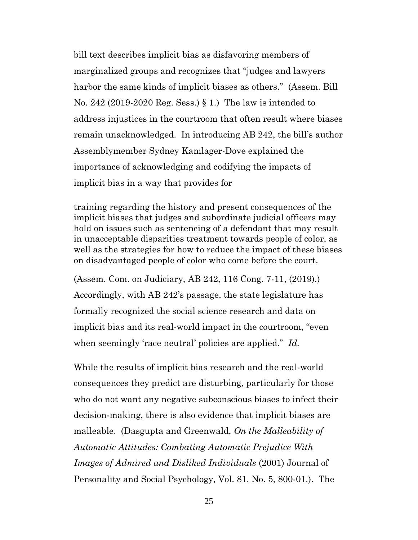bill text describes implicit bias as disfavoring members of marginalized groups and recognizes that "judges and lawyers harbor the same kinds of implicit biases as others." (Assem. Bill No. 242 (2019-2020 Reg. Sess.) § 1.) The law is intended to address injustices in the courtroom that often result where biases remain unacknowledged. In introducing AB 242, the bill's author Assemblymember Sydney Kamlager-Dove explained the importance of acknowledging and codifying the impacts of implicit bias in a way that provides for

training regarding the history and present consequences of the implicit biases that judges and subordinate judicial officers may hold on issues such as sentencing of a defendant that may result in unacceptable disparities treatment towards people of color, as well as the strategies for how to reduce the impact of these biases on disadvantaged people of color who come before the court.

(Assem. Com. on Judiciary, AB 242, 116 Cong. 7-11, (2019).) Accordingly, with AB 242's passage, the state legislature has formally recognized the social science research and data on implicit bias and its real-world impact in the courtroom, "even when seemingly 'race neutral' policies are applied." *Id.*

<span id="page-25-0"></span>While the results of implicit bias research and the real-world consequences they predict are disturbing, particularly for those who do not want any negative subconscious biases to infect their decision-making, there is also evidence that implicit biases are malleable. (Dasgupta and Greenwald, *On the Malleability of Automatic Attitudes: Combating Automatic Prejudice With Images of Admired and Disliked Individuals* (2001) Journal of Personality and Social Psychology, Vol. 81. No. 5, 800-01.). The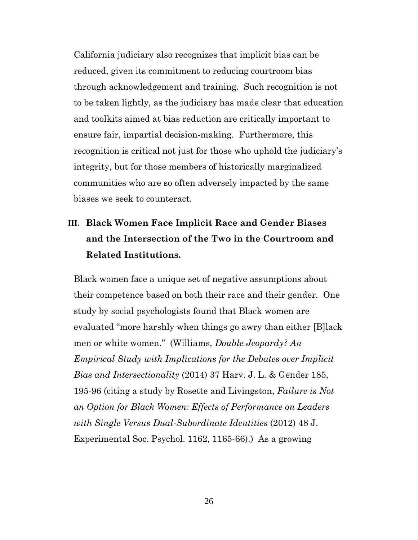California judiciary also recognizes that implicit bias can be reduced, given its commitment to reducing courtroom bias through acknowledgement and training. Such recognition is not to be taken lightly, as the judiciary has made clear that education and toolkits aimed at bias reduction are critically important to ensure fair, impartial decision-making. Furthermore, this recognition is critical not just for those who uphold the judiciary's integrity, but for those members of historically marginalized communities who are so often adversely impacted by the same biases we seek to counteract.

## <span id="page-26-0"></span>**III. Black Women Face Implicit Race and Gender Biases and the Intersection of the Two in the Courtroom and Related Institutions.**

<span id="page-26-1"></span>Black women face a unique set of negative assumptions about their competence based on both their race and their gender. One study by social psychologists found that Black women are evaluated "more harshly when things go awry than either [B]lack men or white women." (Williams, *Double Jeopardy? An Empirical Study with Implications for the Debates over Implicit Bias and Intersectionality* (2014) 37 Harv. J. L. & Gender 185, 195-96 (citing a study by Rosette and Livingston, *Failure is Not an Option for Black Women: Effects of Performance on Leaders with Single Versus Dual-Subordinate Identities* (2012) 48 J. Experimental Soc. Psychol. 1162, 1165-66).) As a growing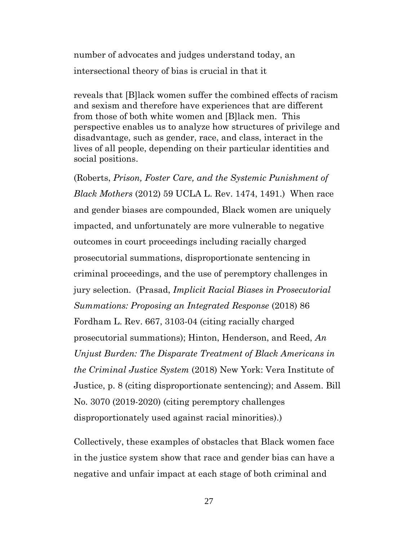number of advocates and judges understand today, an intersectional theory of bias is crucial in that it

reveals that [B]lack women suffer the combined effects of racism and sexism and therefore have experiences that are different from those of both white women and [B]lack men. This perspective enables us to analyze how structures of privilege and disadvantage, such as gender, race, and class, interact in the lives of all people, depending on their particular identities and social positions.

<span id="page-27-2"></span><span id="page-27-1"></span>(Roberts, *Prison, Foster Care, and the Systemic Punishment of Black Mothers* (2012) 59 UCLA L. Rev. 1474, 1491.) When race and gender biases are compounded, Black women are uniquely impacted, and unfortunately are more vulnerable to negative outcomes in court proceedings including racially charged prosecutorial summations, disproportionate sentencing in criminal proceedings, and the use of peremptory challenges in jury selection. (Prasad, *Implicit Racial Biases in Prosecutorial Summations: Proposing an Integrated Response* (2018) 86 Fordham L. Rev. 667, 3103-04 (citing racially charged prosecutorial summations); Hinton, Henderson, and Reed, *An Unjust Burden: The Disparate Treatment of Black Americans in the Criminal Justice System* (2018) New York: Vera Institute of Justice, p. 8 (citing disproportionate sentencing); and Assem. Bill No. 3070 (2019-2020) (citing peremptory challenges disproportionately used against racial minorities).)

<span id="page-27-0"></span>Collectively, these examples of obstacles that Black women face in the justice system show that race and gender bias can have a negative and unfair impact at each stage of both criminal and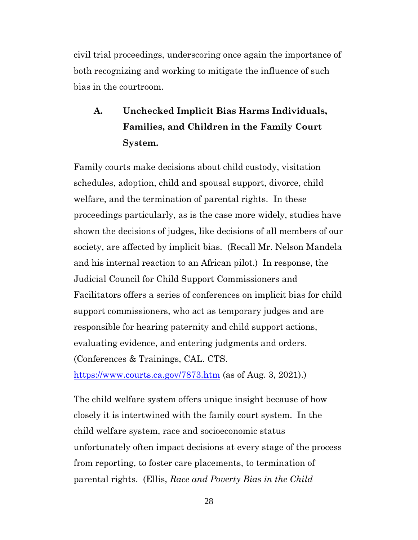civil trial proceedings, underscoring once again the importance of both recognizing and working to mitigate the influence of such bias in the courtroom.

# <span id="page-28-0"></span>**A. Unchecked Implicit Bias Harms Individuals, Families, and Children in the Family Court System.**

Family courts make decisions about child custody, visitation schedules, adoption, child and spousal support, divorce, child welfare, and the termination of parental rights. In these proceedings particularly, as is the case more widely, studies have shown the decisions of judges, like decisions of all members of our society, are affected by implicit bias. (Recall Mr. Nelson Mandela and his internal reaction to an African pilot.) In response, the Judicial Council for Child Support Commissioners and Facilitators offers a series of conferences on implicit bias for child support commissioners, who act as temporary judges and are responsible for hearing paternity and child support actions, evaluating evidence, and entering judgments and orders. (Conferences & Trainings, CAL. CTS.

<span id="page-28-1"></span><https://www.courts.ca.gov/7873.htm> (as of Aug. 3, 2021).)

The child welfare system offers unique insight because of how closely it is intertwined with the family court system. In the child welfare system, race and socioeconomic status unfortunately often impact decisions at every stage of the process from reporting, to foster care placements, to termination of parental rights. (Ellis, *Race and Poverty Bias in the Child*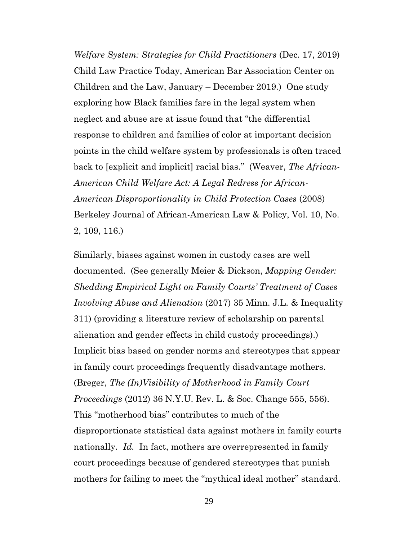*Welfare System: Strategies for Child Practitioners* (Dec. 17, 2019) Child Law Practice Today, American Bar Association Center on Children and the Law, January – December 2019.) One study exploring how Black families fare in the legal system when neglect and abuse are at issue found that "the differential response to children and families of color at important decision points in the child welfare system by professionals is often traced back to [explicit and implicit] racial bias." (Weaver, *The African-American Child Welfare Act: A Legal Redress for African-American Disproportionality in Child Protection Cases* (2008) Berkeley Journal of African-American Law & Policy, Vol. 10, No. 2, 109, 116.)

<span id="page-29-1"></span><span id="page-29-0"></span>Similarly, biases against women in custody cases are well documented. (See generally Meier & Dickson, *Mapping Gender: Shedding Empirical Light on Family Courts' Treatment of Cases Involving Abuse and Alienation* (2017) 35 Minn. J.L. & Inequality 311) (providing a literature review of scholarship on parental alienation and gender effects in child custody proceedings).) Implicit bias based on gender norms and stereotypes that appear in family court proceedings frequently disadvantage mothers. (Breger, *The (In)Visibility of Motherhood in Family Court Proceedings* (2012) 36 N.Y.U. Rev. L. & Soc. Change 555, 556). This "motherhood bias" contributes to much of the disproportionate statistical data against mothers in family courts nationally. *Id.* In fact, mothers are overrepresented in family court proceedings because of gendered stereotypes that punish mothers for failing to meet the "mythical ideal mother" standard.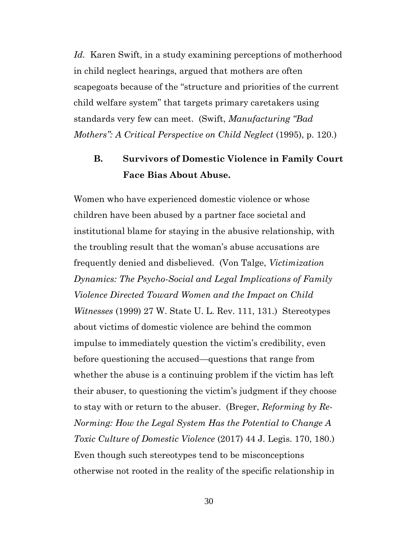<span id="page-30-3"></span>*Id.* Karen Swift, in a study examining perceptions of motherhood in child neglect hearings, argued that mothers are often scapegoats because of the "structure and priorities of the current child welfare system" that targets primary caretakers using standards very few can meet. (Swift, *Manufacturing "Bad Mothers": A Critical Perspective on Child Neglect* (1995), p. 120.)

## <span id="page-30-2"></span><span id="page-30-0"></span>**B. Survivors of Domestic Violence in Family Court Face Bias About Abuse.**

<span id="page-30-4"></span><span id="page-30-1"></span>Women who have experienced domestic violence or whose children have been abused by a partner face societal and institutional blame for staying in the abusive relationship, with the troubling result that the woman's abuse accusations are frequently denied and disbelieved. (Von Talge, *Victimization Dynamics: The Psycho-Social and Legal Implications of Family Violence Directed Toward Women and the Impact on Child Witnesses* (1999) 27 W. State U. L. Rev. 111, 131.) Stereotypes about victims of domestic violence are behind the common impulse to immediately question the victim's credibility, even before questioning the accused—questions that range from whether the abuse is a continuing problem if the victim has left their abuser, to questioning the victim's judgment if they choose to stay with or return to the abuser. (Breger, *Reforming by Re-Norming: How the Legal System Has the Potential to Change A Toxic Culture of Domestic Violence* (2017) 44 J. Legis. 170, 180.) Even though such stereotypes tend to be misconceptions otherwise not rooted in the reality of the specific relationship in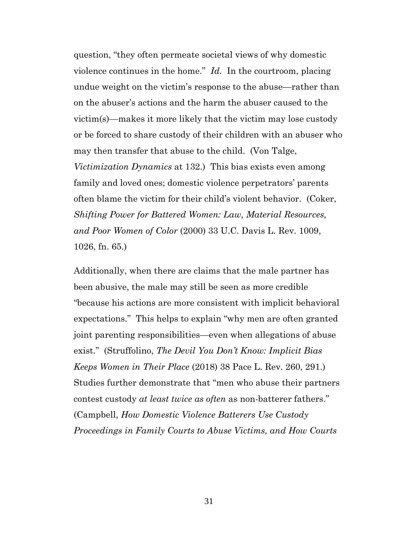<span id="page-31-0"></span>question, "they often permeate societal views of why domestic violence continues in the home." *Id.* In the courtroom, placing undue weight on the victim's response to the abuse—rather than on the abuser's actions and the harm the abuser caused to the victim(s)—makes it more likely that the victim may lose custody or be forced to share custody of their children with an abuser who may then transfer that abuse to the child. (Von Talge, *Victimization Dynamics* at 132.) This bias exists even among family and loved ones; domestic violence perpetrators' parents often blame the victim for their child's violent behavior. (Coker, *Shifting Power for Battered Women: Law, Material Resources, and Poor Women of Color* (2000) 33 U.C. Davis L. Rev. 1009, 1026, fn. 65.)

<span id="page-31-3"></span><span id="page-31-2"></span><span id="page-31-1"></span>Additionally, when there are claims that the male partner has been abusive, the male may still be seen as more credible "because his actions are more consistent with implicit behavioral expectations." This helps to explain "why men are often granted joint parenting responsibilities—even when allegations of abuse exist." (Struffolino, *The Devil You Don't Know: Implicit Bias Keeps Women in Their Place* (2018) 38 Pace L. Rev. 260, 291.) Studies further demonstrate that "men who abuse their partners contest custody *at least twice as often* as non-batterer fathers." (Campbell, *How Domestic Violence Batterers Use Custody Proceedings in Family Courts to Abuse Victims, and How Courts*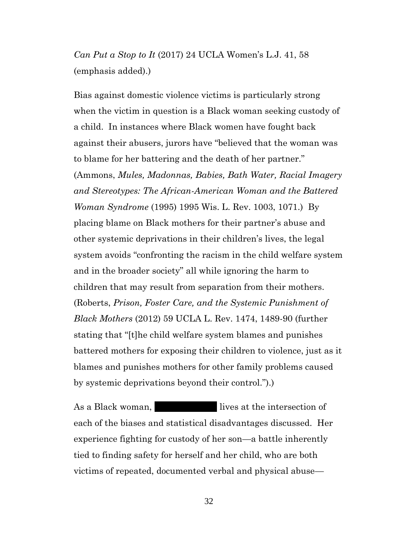*Can Put a Stop to It* (2017) 24 UCLA Women's L.J. 41, 58 (emphasis added).)

<span id="page-32-0"></span>Bias against domestic violence victims is particularly strong when the victim in question is a Black woman seeking custody of a child. In instances where Black women have fought back against their abusers, jurors have "believed that the woman was to blame for her battering and the death of her partner." (Ammons, *Mules, Madonnas, Babies, Bath Water, Racial Imagery and Stereotypes: The African-American Woman and the Battered Woman Syndrome* (1995) 1995 Wis. L. Rev. 1003, 1071.) By placing blame on Black mothers for their partner's abuse and other systemic deprivations in their children's lives, the legal system avoids "confronting the racism in the child welfare system and in the broader society" all while ignoring the harm to children that may result from separation from their mothers. (Roberts, *Prison, Foster Care, and the Systemic Punishment of Black Mothers* (2012) 59 UCLA L. Rev. 1474, 1489-90 (further stating that "[t]he child welfare system blames and punishes battered mothers for exposing their children to violence, just as it blames and punishes mothers for other family problems caused by systemic deprivations beyond their control.").)

As a Black woman, Marketin lives at the intersection of each of the biases and statistical disadvantages discussed. Her experience fighting for custody of her son—a battle inherently tied to finding safety for herself and her child, who are both victims of repeated, documented verbal and physical abuse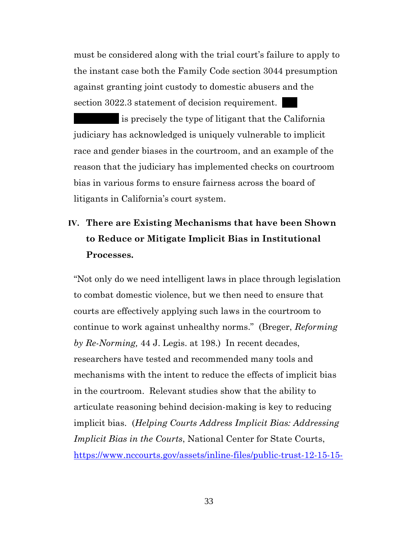<span id="page-33-1"></span>must be considered along with the trial court's failure to apply to the instant case both the Family Code section 3044 presumption against granting joint custody to domestic abusers and the section 3022.3 statement of decision requirement.

is precisely the type of litigant that the California judiciary has acknowledged is uniquely vulnerable to implicit race and gender biases in the courtroom, and an example of the reason that the judiciary has implemented checks on courtroom bias in various forms to ensure fairness across the board of litigants in California's court system.

# <span id="page-33-0"></span>**IV. There are Existing Mechanisms that have been Shown to Reduce or Mitigate Implicit Bias in Institutional Processes.**

"Not only do we need intelligent laws in place through legislation to combat domestic violence, but we then need to ensure that courts are effectively applying such laws in the courtroom to continue to work against unhealthy norms." (Breger, *Reforming by Re-Norming,* 44 J. Legis. at 198.) In recent decades, researchers have tested and recommended many tools and mechanisms with the intent to reduce the effects of implicit bias in the courtroom. Relevant studies show that the ability to articulate reasoning behind decision-making is key to reducing implicit bias. (*Helping Courts Address Implicit Bias: Addressing Implicit Bias in the Courts*, National Center for State Courts, [https://www.nccourts.gov/assets/inline-files/public-trust-12-15-15-](https://www.nccourts.gov/assets/inline-files/public-trust-12-15-15-IB_Summary_033012.pdf?q_DMMIVv0v_eDJUa1ADxtw59Zt_svPg)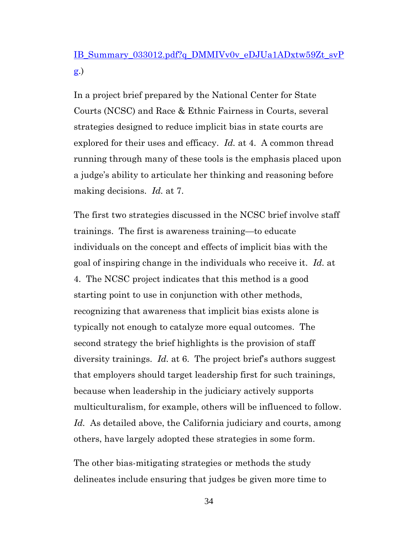## [IB\\_Summary\\_033012.pdf?q\\_DMMIVv0v\\_eDJUa1ADxtw59Zt\\_svP](https://www.nccourts.gov/assets/inline-files/public-trust-12-15-15-IB_Summary_033012.pdf?q_DMMIVv0v_eDJUa1ADxtw59Zt_svPg) [g.](https://www.nccourts.gov/assets/inline-files/public-trust-12-15-15-IB_Summary_033012.pdf?q_DMMIVv0v_eDJUa1ADxtw59Zt_svPg))

In a project brief prepared by the National Center for State Courts (NCSC) and Race & Ethnic Fairness in Courts, several strategies designed to reduce implicit bias in state courts are explored for their uses and efficacy. *Id.* at 4. A common thread running through many of these tools is the emphasis placed upon a judge's ability to articulate her thinking and reasoning before making decisions. *Id.* at 7.

The first two strategies discussed in the NCSC brief involve staff trainings. The first is awareness training—to educate individuals on the concept and effects of implicit bias with the goal of inspiring change in the individuals who receive it. *Id.* at 4. The NCSC project indicates that this method is a good starting point to use in conjunction with other methods, recognizing that awareness that implicit bias exists alone is typically not enough to catalyze more equal outcomes. The second strategy the brief highlights is the provision of staff diversity trainings. *Id.* at 6. The project brief's authors suggest that employers should target leadership first for such trainings, because when leadership in the judiciary actively supports multiculturalism, for example, others will be influenced to follow. *Id.* As detailed above, the California judiciary and courts, among others, have largely adopted these strategies in some form.

The other bias-mitigating strategies or methods the study delineates include ensuring that judges be given more time to

34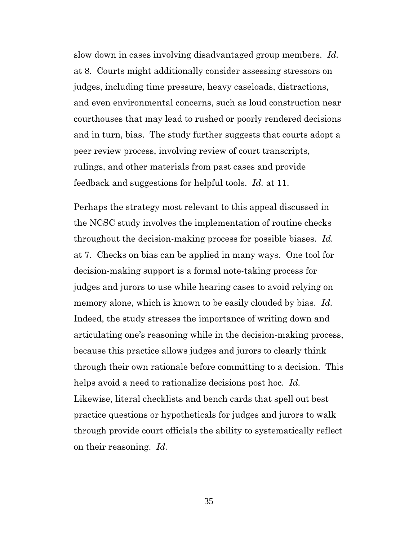slow down in cases involving disadvantaged group members. *Id.* at 8. Courts might additionally consider assessing stressors on judges, including time pressure, heavy caseloads, distractions, and even environmental concerns, such as loud construction near courthouses that may lead to rushed or poorly rendered decisions and in turn, bias. The study further suggests that courts adopt a peer review process, involving review of court transcripts, rulings, and other materials from past cases and provide feedback and suggestions for helpful tools. *Id.* at 11.

Perhaps the strategy most relevant to this appeal discussed in the NCSC study involves the implementation of routine checks throughout the decision-making process for possible biases. *Id.* at 7. Checks on bias can be applied in many ways. One tool for decision-making support is a formal note-taking process for judges and jurors to use while hearing cases to avoid relying on memory alone, which is known to be easily clouded by bias. *Id.* Indeed, the study stresses the importance of writing down and articulating one's reasoning while in the decision-making process, because this practice allows judges and jurors to clearly think through their own rationale before committing to a decision. This helps avoid a need to rationalize decisions post hoc. *Id.* Likewise, literal checklists and bench cards that spell out best practice questions or hypotheticals for judges and jurors to walk through provide court officials the ability to systematically reflect on their reasoning. *Id.*

35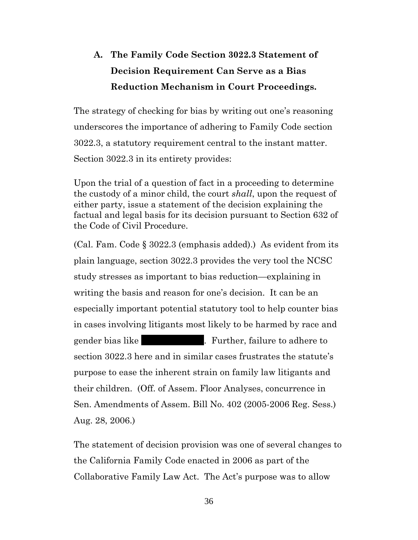# <span id="page-36-0"></span>**A. The Family Code Section 3022.3 Statement of Decision Requirement Can Serve as a Bias Reduction Mechanism in Court Proceedings.**

The strategy of checking for bias by writing out one's reasoning underscores the importance of adhering to Family Code section 3022.3, a statutory requirement central to the instant matter. Section 3022.3 in its entirety provides:

<span id="page-36-1"></span>Upon the trial of a question of fact in a proceeding to determine the custody of a minor child, the court *shall*, upon the request of either party, issue a statement of the decision explaining the factual and legal basis for its decision pursuant to Section 632 of the Code of Civil Procedure.

(Cal. Fam. Code § 3022.3 (emphasis added).) As evident from its plain language, section 3022.3 provides the very tool the NCSC study stresses as important to bias reduction—explaining in writing the basis and reason for one's decision. It can be an especially important potential statutory tool to help counter bias in cases involving litigants most likely to be harmed by race and gender bias like Theorem Muslim Further, failure to adhere to section 3022.3 here and in similar cases frustrates the statute's purpose to ease the inherent strain on family law litigants and their children. (Off. of Assem. Floor Analyses, concurrence in Sen. Amendments of Assem. Bill No. 402 (2005-2006 Reg. Sess.) Aug. 28, 2006.)

The statement of decision provision was one of several changes to the California Family Code enacted in 2006 as part of the Collaborative Family Law Act. The Act's purpose was to allow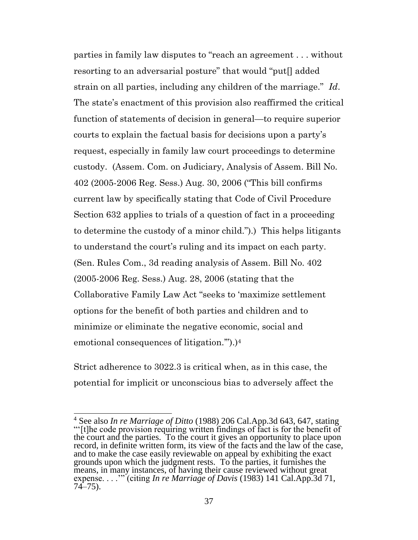<span id="page-37-1"></span>parties in family law disputes to "reach an agreement . . . without resorting to an adversarial posture" that would "put[] added strain on all parties, including any children of the marriage." *Id*. The state's enactment of this provision also reaffirmed the critical function of statements of decision in general—to require superior courts to explain the factual basis for decisions upon a party's request, especially in family law court proceedings to determine custody. (Assem. Com. on Judiciary, Analysis of Assem. Bill No. 402 (2005-2006 Reg. Sess.) Aug. 30, 2006 ("This bill confirms current law by specifically stating that Code of Civil Procedure Section 632 applies to trials of a question of fact in a proceeding to determine the custody of a minor child.").) This helps litigants to understand the court's ruling and its impact on each party. (Sen. Rules Com., 3d reading analysis of Assem. Bill No. 402 (2005-2006 Reg. Sess.) Aug. 28, 2006 (stating that the Collaborative Family Law Act "seeks to 'maximize settlement options for the benefit of both parties and children and to minimize or eliminate the negative economic, social and emotional consequences of litigation.'").)<sup>4</sup>

Strict adherence to 3022.3 is critical when, as in this case, the potential for implicit or unconscious bias to adversely affect the

<span id="page-37-0"></span><sup>4</sup> See also *In re Marriage of Ditto* (1988) 206 Cal.App.3d 643, 647, stating "'[t]he code provision requiring written findings of fact is for the benefit of the court and the parties. To the court it gives an opportunity to place upon record, in definite written form, its view of the facts and the law of the case, and to make the case easily reviewable on appeal by exhibiting the exact grounds upon which the judgment rests. To the parties, it furnishes the means, in many instances, of having their cause reviewed without great expense. . . .'" (citing *In re Marriage of Davis* (1983) 141 Cal.App.3d 71, 74–75).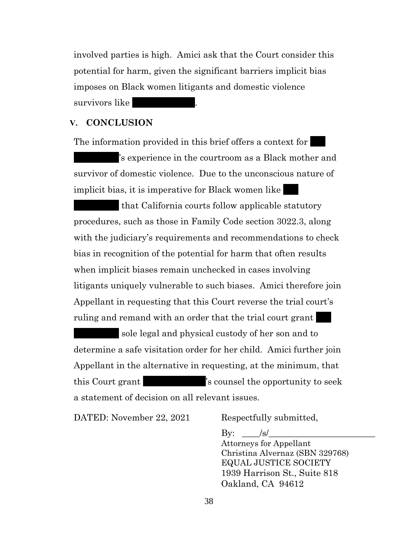involved parties is high. Amici ask that the Court consider this potential for harm, given the significant barriers implicit bias imposes on Black women litigants and domestic violence survivors like

#### <span id="page-38-0"></span>**V. CONCLUSION**

The information provided in this brief offers a context for 's experience in the courtroom as a Black mother and survivor of domestic violence. Due to the unconscious nature of implicit bias, it is imperative for Black women like

that California courts follow applicable statutory procedures, such as those in Family Code section 3022.3, along with the judiciary's requirements and recommendations to check bias in recognition of the potential for harm that often results when implicit biases remain unchecked in cases involving litigants uniquely vulnerable to such biases. Amici therefore join Appellant in requesting that this Court reverse the trial court's ruling and remand with an order that the trial court grant

sole legal and physical custody of her son and to determine a safe visitation order for her child. Amici further join Appellant in the alternative in requesting, at the minimum, that this Court grant  $\sim$  's counsel the opportunity to seek a statement of decision on all relevant issues.

DATED: November 22, 2021 Respectfully submitted,

By:  $|S|$ 

Attorneys for Appellant Christina Alvernaz (SBN 329768) EQUAL JUSTICE SOCIETY 1939 Harrison St., Suite 818 Oakland, CA 94612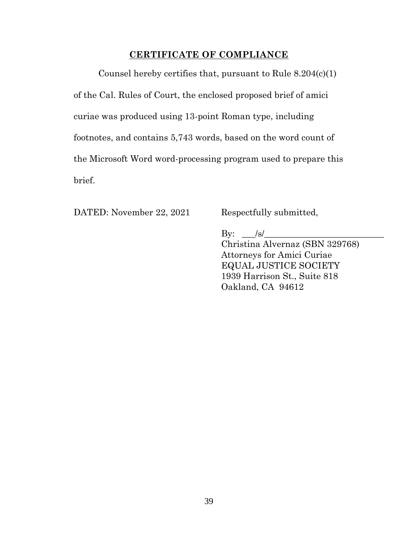### <span id="page-39-0"></span>**CERTIFICATE OF COMPLIANCE**

Counsel hereby certifies that, pursuant to Rule 8.204(c)(1) of the Cal. Rules of Court, the enclosed proposed brief of amici curiae was produced using 13-point Roman type, including footnotes, and contains 5,743 words, based on the word count of the Microsoft Word word-processing program used to prepare this brief.

DATED: November 22, 2021 Respectfully submitted,

By:  $\Box$ /s/ Christina Alvernaz (SBN 329768) Attorneys for Amici Curiae EQUAL JUSTICE SOCIETY 1939 Harrison St., Suite 818 Oakland, CA 94612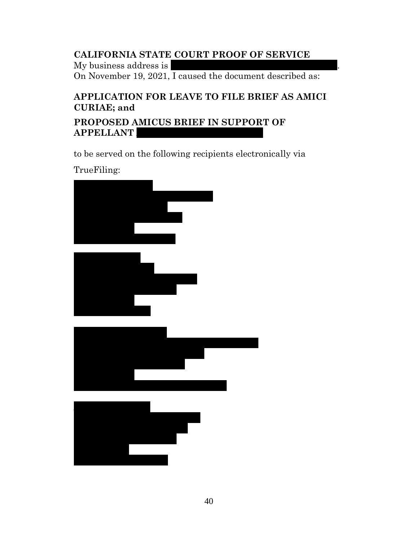## **CALIFORNIA STATE COURT PROOF OF SERVICE**

My business address is On November 19, 2021, I caused the document described as:

## **APPLICATION FOR LEAVE TO FILE BRIEF AS AMICI CURIAE; and**

**PROPOSED AMICUS BRIEF IN SUPPORT OF APPELLANT** 

to be served on the following recipients electronically via

TrueFiling: